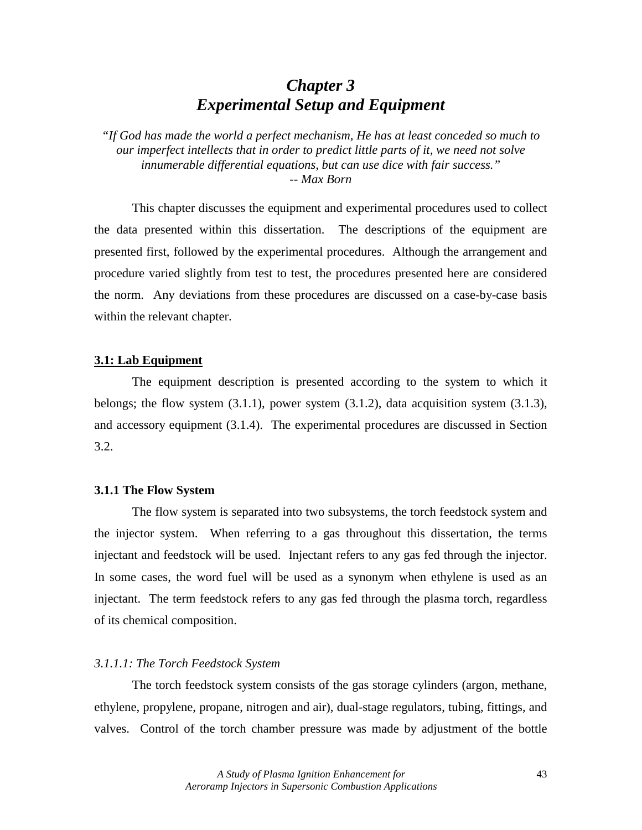# *Chapter 3 Experimental Setup and Equipment*

*"If God has made the world a perfect mechanism, He has at least conceded so much to our imperfect intellects that in order to predict little parts of it, we need not solve innumerable differential equations, but can use dice with fair success." -- Max Born* 

 This chapter discusses the equipment and experimental procedures used to collect the data presented within this dissertation. The descriptions of the equipment are presented first, followed by the experimental procedures. Although the arrangement and procedure varied slightly from test to test, the procedures presented here are considered the norm. Any deviations from these procedures are discussed on a case-by-case basis within the relevant chapter.

### **3.1: Lab Equipment**

 The equipment description is presented according to the system to which it belongs; the flow system (3.1.1), power system (3.1.2), data acquisition system (3.1.3), and accessory equipment (3.1.4). The experimental procedures are discussed in Section 3.2.

### **3.1.1 The Flow System**

 The flow system is separated into two subsystems, the torch feedstock system and the injector system. When referring to a gas throughout this dissertation, the terms injectant and feedstock will be used. Injectant refers to any gas fed through the injector. In some cases, the word fuel will be used as a synonym when ethylene is used as an injectant. The term feedstock refers to any gas fed through the plasma torch, regardless of its chemical composition.

#### *3.1.1.1: The Torch Feedstock System*

 The torch feedstock system consists of the gas storage cylinders (argon, methane, ethylene, propylene, propane, nitrogen and air), dual-stage regulators, tubing, fittings, and valves. Control of the torch chamber pressure was made by adjustment of the bottle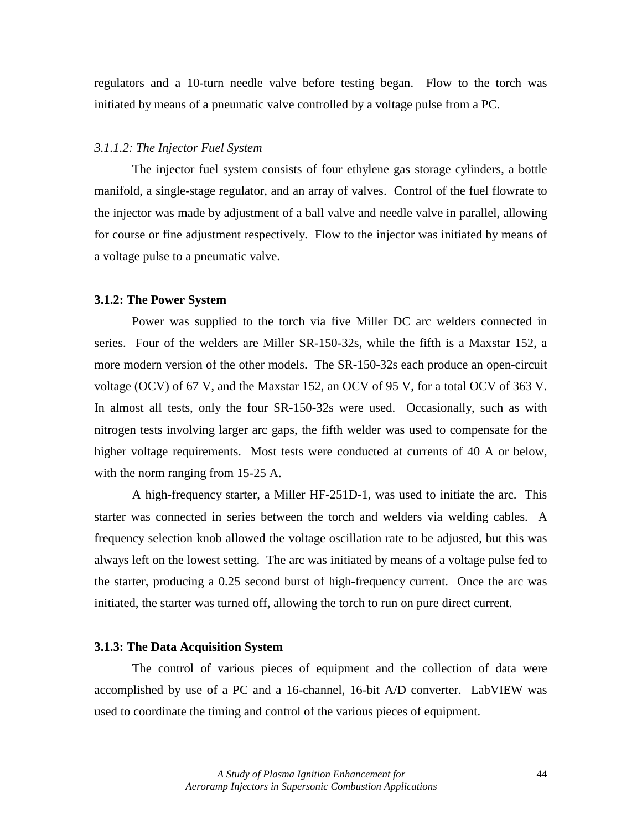regulators and a 10-turn needle valve before testing began. Flow to the torch was initiated by means of a pneumatic valve controlled by a voltage pulse from a PC.

#### *3.1.1.2: The Injector Fuel System*

 The injector fuel system consists of four ethylene gas storage cylinders, a bottle manifold, a single-stage regulator, and an array of valves. Control of the fuel flowrate to the injector was made by adjustment of a ball valve and needle valve in parallel, allowing for course or fine adjustment respectively. Flow to the injector was initiated by means of a voltage pulse to a pneumatic valve.

#### **3.1.2: The Power System**

 Power was supplied to the torch via five Miller DC arc welders connected in series. Four of the welders are Miller SR-150-32s, while the fifth is a Maxstar 152, a more modern version of the other models. The SR-150-32s each produce an open-circuit voltage (OCV) of 67 V, and the Maxstar 152, an OCV of 95 V, for a total OCV of 363 V. In almost all tests, only the four SR-150-32s were used. Occasionally, such as with nitrogen tests involving larger arc gaps, the fifth welder was used to compensate for the higher voltage requirements. Most tests were conducted at currents of 40 A or below, with the norm ranging from 15-25 A.

 A high-frequency starter, a Miller HF-251D-1, was used to initiate the arc. This starter was connected in series between the torch and welders via welding cables. A frequency selection knob allowed the voltage oscillation rate to be adjusted, but this was always left on the lowest setting. The arc was initiated by means of a voltage pulse fed to the starter, producing a 0.25 second burst of high-frequency current. Once the arc was initiated, the starter was turned off, allowing the torch to run on pure direct current.

#### **3.1.3: The Data Acquisition System**

 The control of various pieces of equipment and the collection of data were accomplished by use of a PC and a 16-channel, 16-bit A/D converter. LabVIEW was used to coordinate the timing and control of the various pieces of equipment.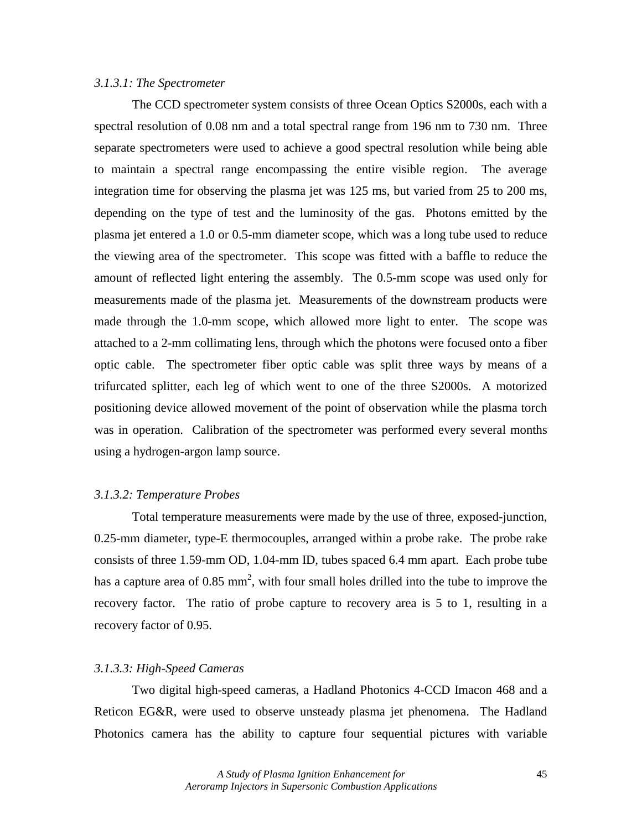### *3.1.3.1: The Spectrometer*

The CCD spectrometer system consists of three Ocean Optics S2000s, each with a spectral resolution of 0.08 nm and a total spectral range from 196 nm to 730 nm. Three separate spectrometers were used to achieve a good spectral resolution while being able to maintain a spectral range encompassing the entire visible region. The average integration time for observing the plasma jet was 125 ms, but varied from 25 to 200 ms, depending on the type of test and the luminosity of the gas. Photons emitted by the plasma jet entered a 1.0 or 0.5-mm diameter scope, which was a long tube used to reduce the viewing area of the spectrometer. This scope was fitted with a baffle to reduce the amount of reflected light entering the assembly. The 0.5-mm scope was used only for measurements made of the plasma jet. Measurements of the downstream products were made through the 1.0-mm scope, which allowed more light to enter. The scope was attached to a 2-mm collimating lens, through which the photons were focused onto a fiber optic cable. The spectrometer fiber optic cable was split three ways by means of a trifurcated splitter, each leg of which went to one of the three S2000s. A motorized positioning device allowed movement of the point of observation while the plasma torch was in operation. Calibration of the spectrometer was performed every several months using a hydrogen-argon lamp source.

### *3.1.3.2: Temperature Probes*

 Total temperature measurements were made by the use of three, exposed-junction, 0.25-mm diameter, type-E thermocouples, arranged within a probe rake. The probe rake consists of three 1.59-mm OD, 1.04-mm ID, tubes spaced 6.4 mm apart. Each probe tube has a capture area of 0.85 mm<sup>2</sup>, with four small holes drilled into the tube to improve the recovery factor. The ratio of probe capture to recovery area is 5 to 1, resulting in a recovery factor of 0.95.

### *3.1.3.3: High-Speed Cameras*

 Two digital high-speed cameras, a Hadland Photonics 4-CCD Imacon 468 and a Reticon EG&R, were used to observe unsteady plasma jet phenomena. The Hadland Photonics camera has the ability to capture four sequential pictures with variable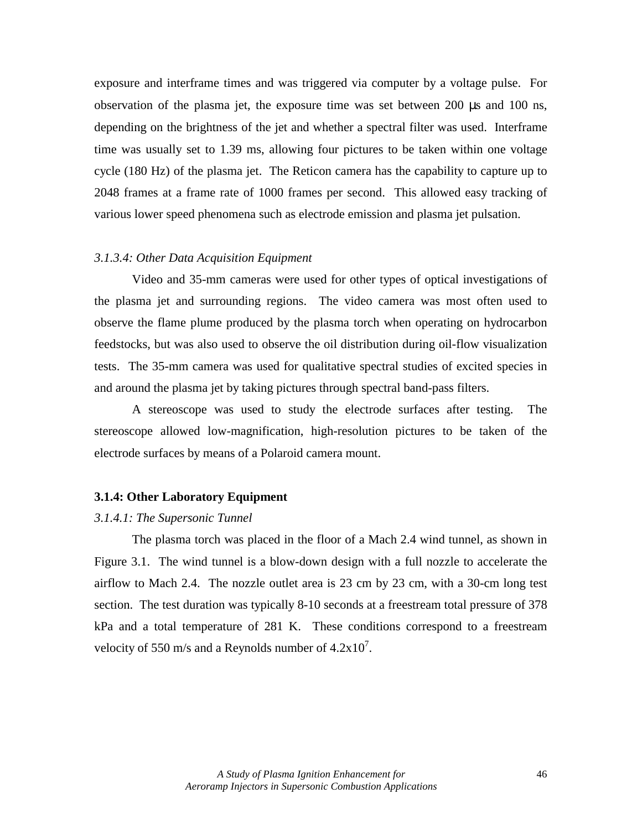exposure and interframe times and was triggered via computer by a voltage pulse. For observation of the plasma jet, the exposure time was set between 200 µs and 100 ns, depending on the brightness of the jet and whether a spectral filter was used. Interframe time was usually set to 1.39 ms, allowing four pictures to be taken within one voltage cycle (180 Hz) of the plasma jet. The Reticon camera has the capability to capture up to 2048 frames at a frame rate of 1000 frames per second. This allowed easy tracking of various lower speed phenomena such as electrode emission and plasma jet pulsation.

#### *3.1.3.4: Other Data Acquisition Equipment*

 Video and 35-mm cameras were used for other types of optical investigations of the plasma jet and surrounding regions. The video camera was most often used to observe the flame plume produced by the plasma torch when operating on hydrocarbon feedstocks, but was also used to observe the oil distribution during oil-flow visualization tests. The 35-mm camera was used for qualitative spectral studies of excited species in and around the plasma jet by taking pictures through spectral band-pass filters.

A stereoscope was used to study the electrode surfaces after testing. The stereoscope allowed low-magnification, high-resolution pictures to be taken of the electrode surfaces by means of a Polaroid camera mount.

#### **3.1.4: Other Laboratory Equipment**

### *3.1.4.1: The Supersonic Tunnel*

The plasma torch was placed in the floor of a Mach 2.4 wind tunnel, as shown in Figure 3.1. The wind tunnel is a blow-down design with a full nozzle to accelerate the airflow to Mach 2.4. The nozzle outlet area is 23 cm by 23 cm, with a 30-cm long test section. The test duration was typically 8-10 seconds at a freestream total pressure of 378 kPa and a total temperature of 281 K. These conditions correspond to a freestream velocity of 550 m/s and a Reynolds number of  $4.2 \times 10^7$ .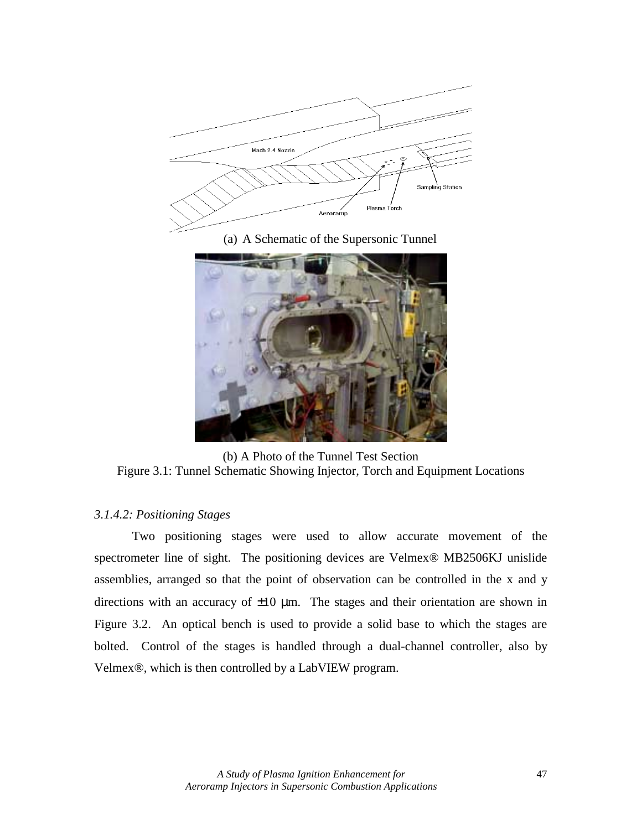

(a) A Schematic of the Supersonic Tunnel



(b) A Photo of the Tunnel Test Section Figure 3.1: Tunnel Schematic Showing Injector, Torch and Equipment Locations

# *3.1.4.2: Positioning Stages*

 Two positioning stages were used to allow accurate movement of the spectrometer line of sight. The positioning devices are Velmex® MB2506KJ unislide assemblies, arranged so that the point of observation can be controlled in the x and y directions with an accuracy of  $\pm 10$  µm. The stages and their orientation are shown in Figure 3.2. An optical bench is used to provide a solid base to which the stages are bolted. Control of the stages is handled through a dual-channel controller, also by Velmex®, which is then controlled by a LabVIEW program.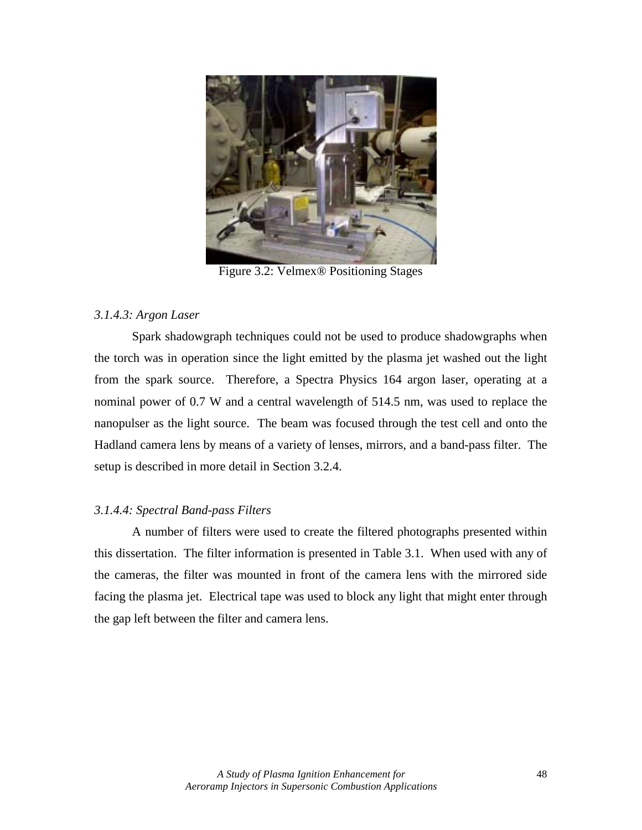

Figure 3.2: Velmex® Positioning Stages

# *3.1.4.3: Argon Laser*

 Spark shadowgraph techniques could not be used to produce shadowgraphs when the torch was in operation since the light emitted by the plasma jet washed out the light from the spark source. Therefore, a Spectra Physics 164 argon laser, operating at a nominal power of 0.7 W and a central wavelength of 514.5 nm, was used to replace the nanopulser as the light source. The beam was focused through the test cell and onto the Hadland camera lens by means of a variety of lenses, mirrors, and a band-pass filter. The setup is described in more detail in Section 3.2.4.

# *3.1.4.4: Spectral Band-pass Filters*

 A number of filters were used to create the filtered photographs presented within this dissertation. The filter information is presented in Table 3.1. When used with any of the cameras, the filter was mounted in front of the camera lens with the mirrored side facing the plasma jet. Electrical tape was used to block any light that might enter through the gap left between the filter and camera lens.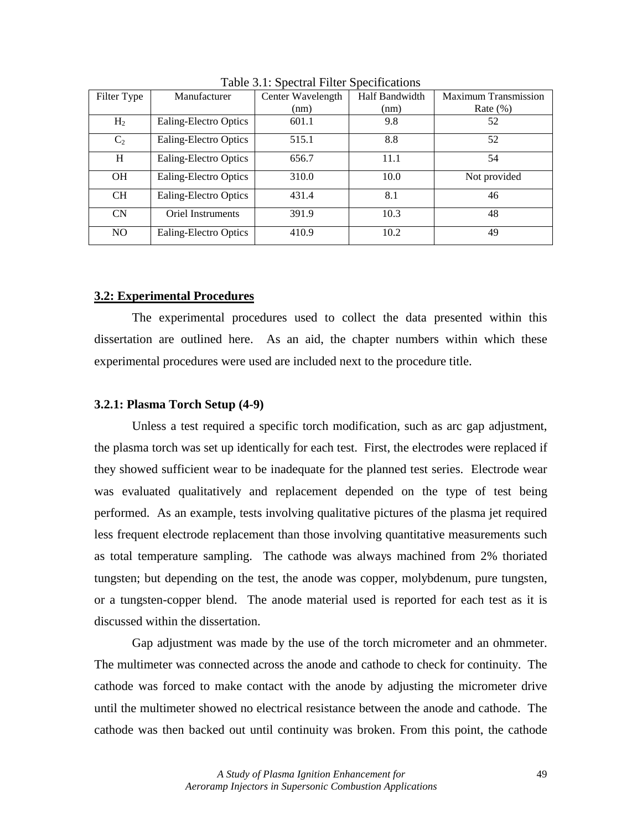| Filter Type    | Manufacturer             | Center Wavelength | Half Bandwidth | <b>Maximum Transmission</b> |
|----------------|--------------------------|-------------------|----------------|-----------------------------|
|                |                          | (nm)              | (nm)           | Rate $(\%)$                 |
| H <sub>2</sub> | Ealing-Electro Optics    | 601.1             | 9.8            | 52                          |
| C <sub>2</sub> | Ealing-Electro Optics    | 515.1             | 8.8            | 52                          |
| H              | Ealing-Electro Optics    | 656.7             | 11.1           | 54                          |
| <b>OH</b>      | Ealing-Electro Optics    | 310.0             | 10.0           | Not provided                |
| <b>CH</b>      | Ealing-Electro Optics    | 431.4             | 8.1            | 46                          |
| CN             | <b>Oriel Instruments</b> | 391.9             | 10.3           | 48                          |
| N <sub>O</sub> | Ealing-Electro Optics    | 410.9             | 10.2           | 49                          |

Table 3.1: Spectral Filter Specifications

### **3.2: Experimental Procedures**

 The experimental procedures used to collect the data presented within this dissertation are outlined here. As an aid, the chapter numbers within which these experimental procedures were used are included next to the procedure title.

#### **3.2.1: Plasma Torch Setup (4-9)**

Unless a test required a specific torch modification, such as arc gap adjustment, the plasma torch was set up identically for each test. First, the electrodes were replaced if they showed sufficient wear to be inadequate for the planned test series. Electrode wear was evaluated qualitatively and replacement depended on the type of test being performed. As an example, tests involving qualitative pictures of the plasma jet required less frequent electrode replacement than those involving quantitative measurements such as total temperature sampling. The cathode was always machined from 2% thoriated tungsten; but depending on the test, the anode was copper, molybdenum, pure tungsten, or a tungsten-copper blend. The anode material used is reported for each test as it is discussed within the dissertation.

Gap adjustment was made by the use of the torch micrometer and an ohmmeter. The multimeter was connected across the anode and cathode to check for continuity. The cathode was forced to make contact with the anode by adjusting the micrometer drive until the multimeter showed no electrical resistance between the anode and cathode. The cathode was then backed out until continuity was broken. From this point, the cathode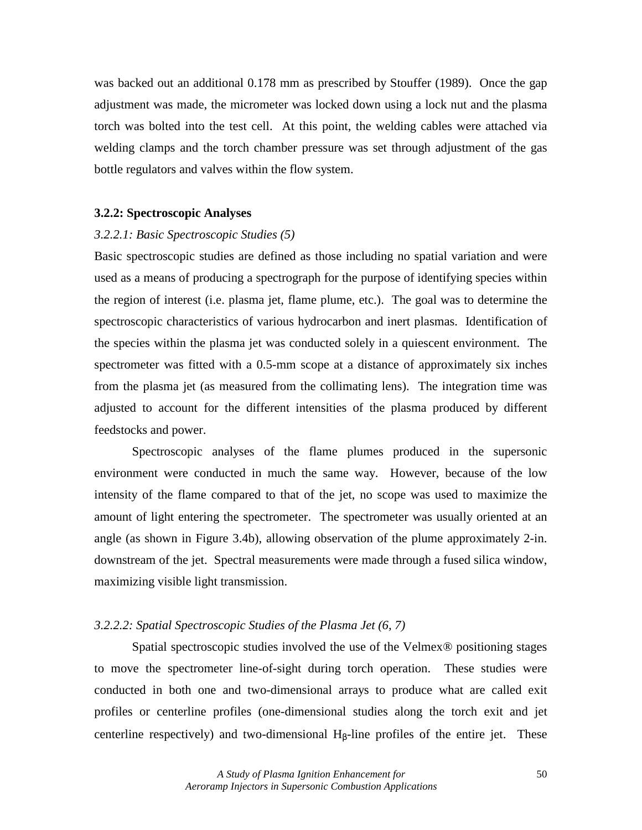was backed out an additional 0.178 mm as prescribed by Stouffer (1989). Once the gap adjustment was made, the micrometer was locked down using a lock nut and the plasma torch was bolted into the test cell. At this point, the welding cables were attached via welding clamps and the torch chamber pressure was set through adjustment of the gas bottle regulators and valves within the flow system.

### **3.2.2: Spectroscopic Analyses**

#### *3.2.2.1: Basic Spectroscopic Studies (5)*

Basic spectroscopic studies are defined as those including no spatial variation and were used as a means of producing a spectrograph for the purpose of identifying species within the region of interest (i.e. plasma jet, flame plume, etc.). The goal was to determine the spectroscopic characteristics of various hydrocarbon and inert plasmas. Identification of the species within the plasma jet was conducted solely in a quiescent environment. The spectrometer was fitted with a 0.5-mm scope at a distance of approximately six inches from the plasma jet (as measured from the collimating lens). The integration time was adjusted to account for the different intensities of the plasma produced by different feedstocks and power.

Spectroscopic analyses of the flame plumes produced in the supersonic environment were conducted in much the same way. However, because of the low intensity of the flame compared to that of the jet, no scope was used to maximize the amount of light entering the spectrometer. The spectrometer was usually oriented at an angle (as shown in Figure 3.4b), allowing observation of the plume approximately 2-in. downstream of the jet. Spectral measurements were made through a fused silica window, maximizing visible light transmission.

### *3.2.2.2: Spatial Spectroscopic Studies of the Plasma Jet (6, 7)*

 Spatial spectroscopic studies involved the use of the Velmex® positioning stages to move the spectrometer line-of-sight during torch operation. These studies were conducted in both one and two-dimensional arrays to produce what are called exit profiles or centerline profiles (one-dimensional studies along the torch exit and jet centerline respectively) and two-dimensional  $H_\beta$ -line profiles of the entire jet. These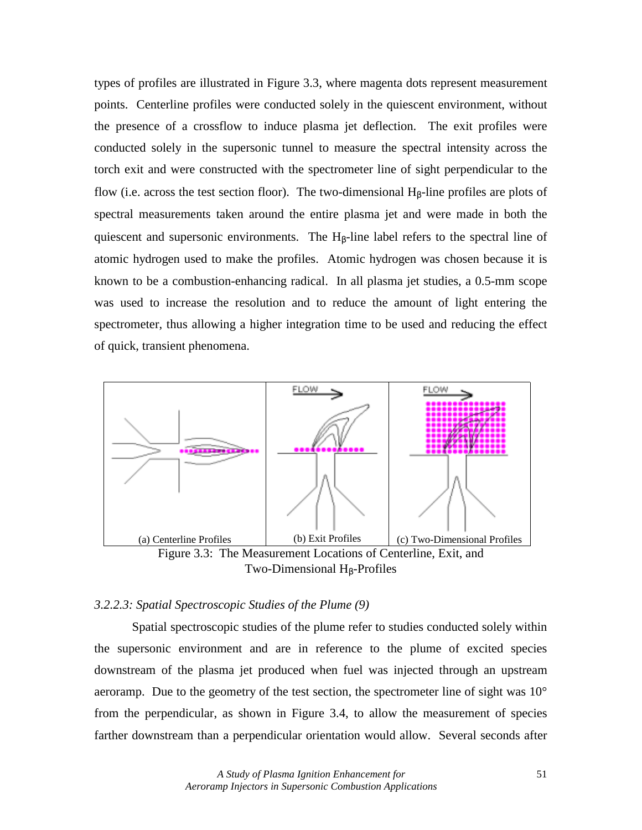types of profiles are illustrated in Figure 3.3, where magenta dots represent measurement points. Centerline profiles were conducted solely in the quiescent environment, without the presence of a crossflow to induce plasma jet deflection. The exit profiles were conducted solely in the supersonic tunnel to measure the spectral intensity across the torch exit and were constructed with the spectrometer line of sight perpendicular to the flow (i.e. across the test section floor). The two-dimensional  $H_\beta$ -line profiles are plots of spectral measurements taken around the entire plasma jet and were made in both the quiescent and supersonic environments. The  $H_\beta$ -line label refers to the spectral line of atomic hydrogen used to make the profiles. Atomic hydrogen was chosen because it is known to be a combustion-enhancing radical. In all plasma jet studies, a 0.5-mm scope was used to increase the resolution and to reduce the amount of light entering the spectrometer, thus allowing a higher integration time to be used and reducing the effect of quick, transient phenomena.



Two-Dimensional  $H_\beta$ -Profiles

# *3.2.2.3: Spatial Spectroscopic Studies of the Plume (9)*

 Spatial spectroscopic studies of the plume refer to studies conducted solely within the supersonic environment and are in reference to the plume of excited species downstream of the plasma jet produced when fuel was injected through an upstream aeroramp. Due to the geometry of the test section, the spectrometer line of sight was 10° from the perpendicular, as shown in Figure 3.4, to allow the measurement of species farther downstream than a perpendicular orientation would allow. Several seconds after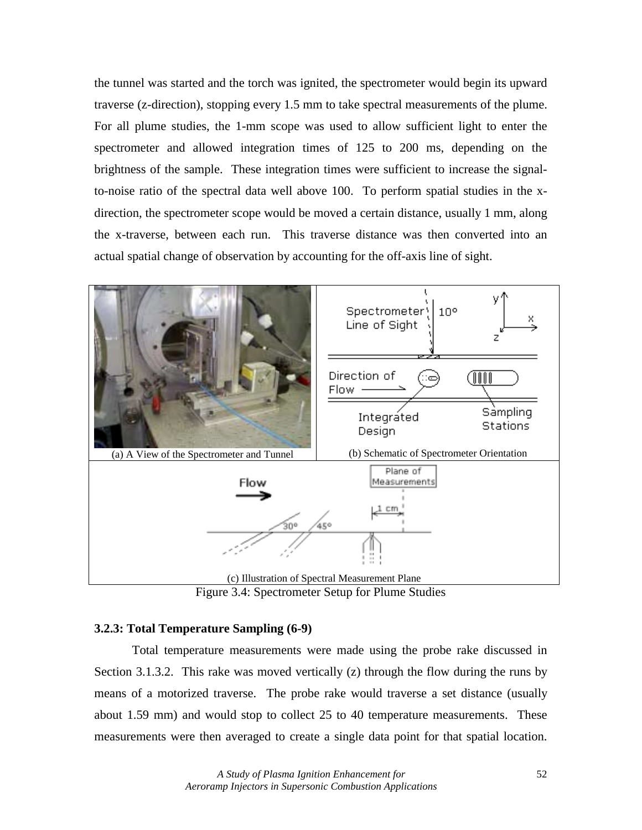the tunnel was started and the torch was ignited, the spectrometer would begin its upward traverse (z-direction), stopping every 1.5 mm to take spectral measurements of the plume. For all plume studies, the 1-mm scope was used to allow sufficient light to enter the spectrometer and allowed integration times of 125 to 200 ms, depending on the brightness of the sample. These integration times were sufficient to increase the signalto-noise ratio of the spectral data well above 100. To perform spatial studies in the xdirection, the spectrometer scope would be moved a certain distance, usually 1 mm, along the x-traverse, between each run. This traverse distance was then converted into an actual spatial change of observation by accounting for the off-axis line of sight.



Figure 3.4: Spectrometer Setup for Plume Studies

# **3.2.3: Total Temperature Sampling (6-9)**

 Total temperature measurements were made using the probe rake discussed in Section 3.1.3.2. This rake was moved vertically (z) through the flow during the runs by means of a motorized traverse. The probe rake would traverse a set distance (usually about 1.59 mm) and would stop to collect 25 to 40 temperature measurements. These measurements were then averaged to create a single data point for that spatial location.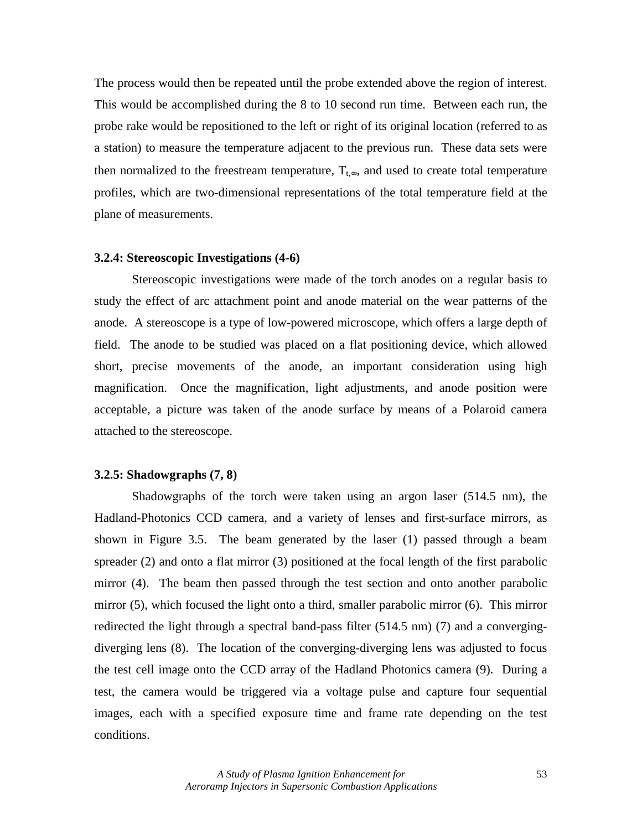The process would then be repeated until the probe extended above the region of interest. This would be accomplished during the 8 to 10 second run time. Between each run, the probe rake would be repositioned to the left or right of its original location (referred to as a station) to measure the temperature adjacent to the previous run. These data sets were then normalized to the freestream temperature,  $T_{t, \infty}$ , and used to create total temperature profiles, which are two-dimensional representations of the total temperature field at the plane of measurements.

#### **3.2.4: Stereoscopic Investigations (4-6)**

 Stereoscopic investigations were made of the torch anodes on a regular basis to study the effect of arc attachment point and anode material on the wear patterns of the anode. A stereoscope is a type of low-powered microscope, which offers a large depth of field. The anode to be studied was placed on a flat positioning device, which allowed short, precise movements of the anode, an important consideration using high magnification. Once the magnification, light adjustments, and anode position were acceptable, a picture was taken of the anode surface by means of a Polaroid camera attached to the stereoscope.

#### **3.2.5: Shadowgraphs (7, 8)**

Shadowgraphs of the torch were taken using an argon laser (514.5 nm), the Hadland-Photonics CCD camera, and a variety of lenses and first-surface mirrors, as shown in Figure 3.5. The beam generated by the laser (1) passed through a beam spreader (2) and onto a flat mirror (3) positioned at the focal length of the first parabolic mirror (4). The beam then passed through the test section and onto another parabolic mirror (5), which focused the light onto a third, smaller parabolic mirror (6). This mirror redirected the light through a spectral band-pass filter (514.5 nm) (7) and a convergingdiverging lens (8). The location of the converging-diverging lens was adjusted to focus the test cell image onto the CCD array of the Hadland Photonics camera (9). During a test, the camera would be triggered via a voltage pulse and capture four sequential images, each with a specified exposure time and frame rate depending on the test conditions.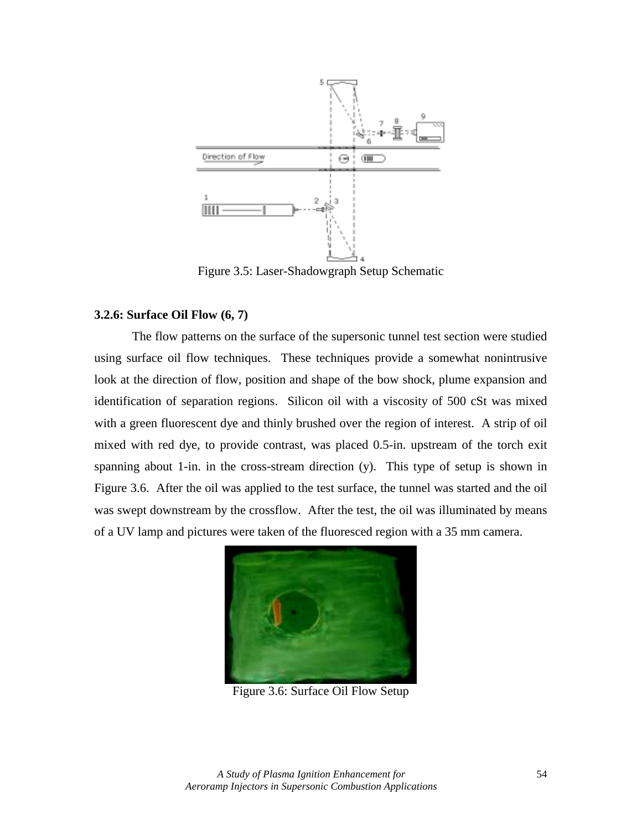

Figure 3.5: Laser-Shadowgraph Setup Schematic

### **3.2.6: Surface Oil Flow (6, 7)**

 The flow patterns on the surface of the supersonic tunnel test section were studied using surface oil flow techniques. These techniques provide a somewhat nonintrusive look at the direction of flow, position and shape of the bow shock, plume expansion and identification of separation regions. Silicon oil with a viscosity of 500 cSt was mixed with a green fluorescent dye and thinly brushed over the region of interest. A strip of oil mixed with red dye, to provide contrast, was placed 0.5-in. upstream of the torch exit spanning about 1-in. in the cross-stream direction (y). This type of setup is shown in Figure 3.6. After the oil was applied to the test surface, the tunnel was started and the oil was swept downstream by the crossflow. After the test, the oil was illuminated by means of a UV lamp and pictures were taken of the fluoresced region with a 35 mm camera.



Figure 3.6: Surface Oil Flow Setup